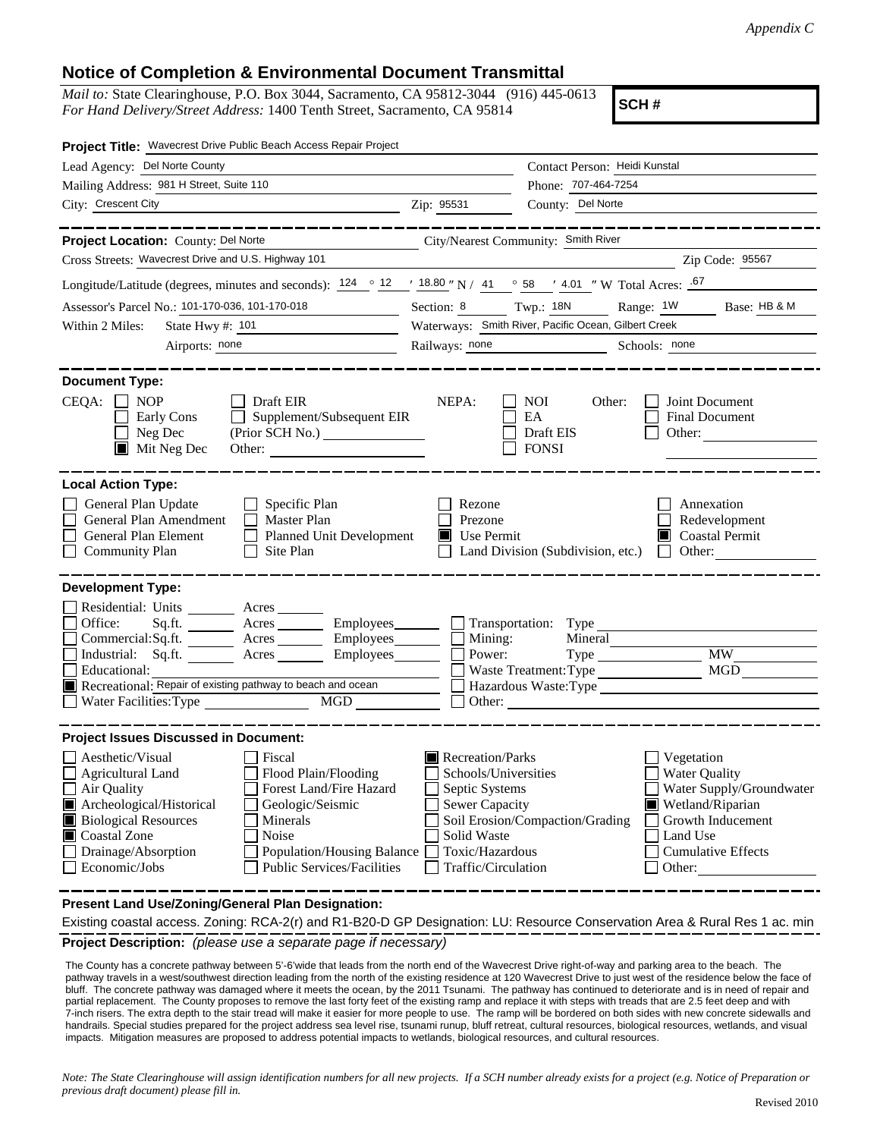## **Notice of Completion & Environmental Document Transmittal**

*Mail to:* State Clearinghouse, P.O. Box 3044, Sacramento, CA 95812-3044 (916) 445-0613 *For Hand Delivery/Street Address:* 1400 Tenth Street, Sacramento, CA 95814

**SCH #**

| Project Title: Wavecrest Drive Public Beach Access Repair Project                                                                                                                                                                                                                                                                                       |                                                                                                                                              |                                                                                                                                                                                               |  |
|---------------------------------------------------------------------------------------------------------------------------------------------------------------------------------------------------------------------------------------------------------------------------------------------------------------------------------------------------------|----------------------------------------------------------------------------------------------------------------------------------------------|-----------------------------------------------------------------------------------------------------------------------------------------------------------------------------------------------|--|
| Lead Agency: Del Norte County                                                                                                                                                                                                                                                                                                                           |                                                                                                                                              | Contact Person: Heidi Kunstal                                                                                                                                                                 |  |
| Mailing Address: 981 H Street, Suite 110                                                                                                                                                                                                                                                                                                                |                                                                                                                                              | Phone: 707-464-7254                                                                                                                                                                           |  |
| City: Crescent City<br><u> 1989 - Johann Barn, mars eta bainar eta baina eta baina eta baina eta baina eta baina eta baina eta baina e</u> ta                                                                                                                                                                                                           | Zip: 95531                                                                                                                                   | County: Del Norte                                                                                                                                                                             |  |
|                                                                                                                                                                                                                                                                                                                                                         |                                                                                                                                              | ______________                                                                                                                                                                                |  |
| Project Location: County: Del Norte<br>City/Nearest Community: Smith River                                                                                                                                                                                                                                                                              |                                                                                                                                              |                                                                                                                                                                                               |  |
| Cross Streets: Wavecrest Drive and U.S. Highway 101                                                                                                                                                                                                                                                                                                     |                                                                                                                                              | Zip Code: 95567                                                                                                                                                                               |  |
| Longitude/Latitude (degrees, minutes and seconds): $\frac{124}{12} \cdot \frac{121}{12} \cdot \frac{18.80}{12} \cdot N$ / 41 $\circ$ 58 $\prime$ 4.01 "W Total Acres: $\frac{.67}{.67}$                                                                                                                                                                 |                                                                                                                                              |                                                                                                                                                                                               |  |
| Assessor's Parcel No.: 101-170-036, 101-170-018                                                                                                                                                                                                                                                                                                         |                                                                                                                                              | Section: 8 Twp.: 18N Range: 1W<br>Base: HB & M                                                                                                                                                |  |
| State Hwy #: 101<br>Within 2 Miles:                                                                                                                                                                                                                                                                                                                     | Waterways: Smith River, Pacific Ocean, Gilbert Creek                                                                                         |                                                                                                                                                                                               |  |
| Airports: none<br><u> 1990 - Johann Barbara, martin a</u>                                                                                                                                                                                                                                                                                               |                                                                                                                                              | Railways: none<br>Schools: none                                                                                                                                                               |  |
|                                                                                                                                                                                                                                                                                                                                                         |                                                                                                                                              |                                                                                                                                                                                               |  |
| <b>Document Type:</b><br>$CEQA: \Box NOP$<br>Draft EIR<br>Supplement/Subsequent EIR<br>Early Cons<br>$\Box$ Neg Dec<br>$\blacksquare$ Mit Neg Dec<br>Other:                                                                                                                                                                                             | NEPA:                                                                                                                                        | <b>NOI</b><br>Other:<br>Joint Document<br>EA<br><b>Final Document</b><br>Draft EIS<br>Other:<br><b>FONSI</b>                                                                                  |  |
| <b>Local Action Type:</b>                                                                                                                                                                                                                                                                                                                               |                                                                                                                                              |                                                                                                                                                                                               |  |
| General Plan Update<br>$\Box$ Specific Plan<br>General Plan Amendment<br>$\Box$ Master Plan<br>Planned Unit Development<br>General Plan Element<br>$\Box$<br><b>Community Plan</b><br>$\Box$ Site Plan                                                                                                                                                  | Rezone<br>Prezone<br>Use Permit                                                                                                              | Annexation<br>Redevelopment<br>Coastal Permit<br>Land Division (Subdivision, etc.) $\Box$ Other:                                                                                              |  |
| <b>Development Type:</b><br>Residential: Units ________ Acres _______<br>Office:<br>$Sq.ft.$ Acres Employees Transportation: Type<br>$Commercial:Sq.fit.$ $Acres$ $Imployees$ $\Box$ Mining:<br>Industrial: Sq.ft. _______ Acres ________ Employees _______<br>Educational:<br>Recreational: Repair of existing pathway to beach and ocean              | Power:<br>Other:                                                                                                                             | Mineral<br>MGD<br>Waste Treatment: Type<br>Hazardous Waste:Type<br><u> 1989 - Johann Stein, Amerikaansk politiker (</u>                                                                       |  |
| <b>Project Issues Discussed in Document:</b>                                                                                                                                                                                                                                                                                                            |                                                                                                                                              |                                                                                                                                                                                               |  |
| Aesthetic/Visual<br>Fiscal<br>Flood Plain/Flooding<br><b>Agricultural Land</b><br>Air Quality<br>Forest Land/Fire Hazard<br>Archeological/Historical<br>Geologic/Seismic<br><b>Biological Resources</b><br>Minerals<br>Noise<br>Coastal Zone<br>Drainage/Absorption<br>Population/Housing Balance<br><b>Public Services/Facilities</b><br>Economic/Jobs | Recreation/Parks<br>Schools/Universities<br>Septic Systems<br><b>Sewer Capacity</b><br>Solid Waste<br>Toxic/Hazardous<br>Traffic/Circulation | Vegetation<br><b>Water Quality</b><br>Water Supply/Groundwater<br>Wetland/Riparian<br>Soil Erosion/Compaction/Grading<br>Growth Inducement<br>Land Use<br><b>Cumulative Effects</b><br>Other: |  |

**Present Land Use/Zoning/General Plan Designation:**

**Project Description:** *(please use a separate page if necessary)* Existing coastal access. Zoning: RCA-2(r) and R1-B20-D GP Designation: LU: Resource Conservation Area & Rural Res 1 ac. min

 The County has a concrete pathway between 5'-6'wide that leads from the north end of the Wavecrest Drive right-of-way and parking area to the beach. The pathway travels in a west/southwest direction leading from the north of the existing residence at 120 Wavecrest Drive to just west of the residence below the face of bluff. The concrete pathway was damaged where it meets the ocean, by the 2011 Tsunami. The pathway has continued to deteriorate and is in need of repair and partial replacement. The County proposes to remove the last forty feet of the existing ramp and replace it with steps with treads that are 2.5 feet deep and with 7-inch risers. The extra depth to the stair tread will make it easier for more people to use. The ramp will be bordered on both sides with new concrete sidewalls and handrails. Special studies prepared for the project address sea level rise, tsunami runup, bluff retreat, cultural resources, biological resources, wetlands, and visual impacts. Mitigation measures are proposed to address potential impacts to wetlands, biological resources, and cultural resources.

*Note: The State Clearinghouse will assign identification numbers for all new projects. If a SCH number already exists for a project (e.g. Notice of Preparation or previous draft document) please fill in.*